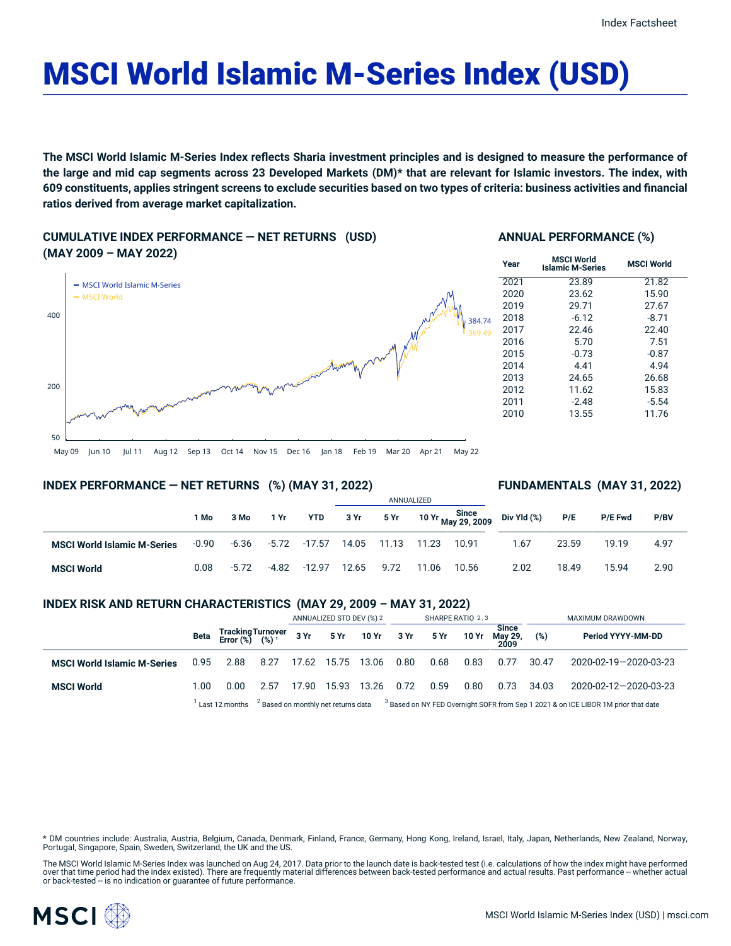## MSCI World Islamic M-Series Index (USD)

The MSCI World Islamic M-Series Index reflects Sharia investment principles and is designed to measure the performance of the large and mid cap segments across 23 Developed Markets (DM)\* that are relevant for Islamic investors. The index, with 609 constituents, applies stringent screens to exclude securities based on two types of criteria: business activities and financial **ratios derived from average market capitalization.**

**CUMULATIVE INDEX PERFORMANCE — NET RETURNS (USD) (MAY 2009 – MAY 2022)**

### $-$  MSCI World Islamic M-Series 384.74 369.49 **Year**

# 50

#### **ANNUAL PERFORMANCE (%)**

| Year | <b>MSCI World</b><br><b>Islamic M-Series</b> | <b>MSCI World</b> |
|------|----------------------------------------------|-------------------|
| 2021 | 23.89                                        | 21.82             |
| 2020 | 23.62                                        | 15.90             |
| 2019 | 29.71                                        | 27.67             |
| 2018 | $-6.12$                                      | $-8.71$           |
| 2017 | 22.46                                        | 22.40             |
| 2016 | 5.70                                         | 7.51              |
| 2015 | $-0.73$                                      | $-0.87$           |
| 2014 | 4.41                                         | 4.94              |
| 2013 | 24.65                                        | 26.68             |
| 2012 | 11.62                                        | 15.83             |
| 2011 | $-2.48$                                      | $-5.54$           |
| 2010 | 13.55                                        | 11.76             |

#### May 09 Jun 10 Jul 11 Aug 12 Sep 13 Oct 14 Nov 15 Dec 16 Jan 18 Feb 19 Mar 20 Apr 21 May 22

#### **INDEX PERFORMANCE — NET RETURNS (%) (MAY 31, 2022)**

#### **FUNDAMENTALS (MAY 31, 2022)**

|                                    |         |         |         |            | ANNUALIZED |       |       |                             |             |       |         |      |
|------------------------------------|---------|---------|---------|------------|------------|-------|-------|-----------------------------|-------------|-------|---------|------|
|                                    | 1 Mo    | 3 Mo    | 1 Yr    | <b>YTD</b> | 3 Yr       | 5 Yr  |       | 10 Yr Since<br>May 29, 2009 | Div Yld (%) | P/E   | P/E Fwd | P/BV |
| <b>MSCI World Islamic M-Series</b> | $-0.90$ | -6.36   | -5.72   | -17.57     | 14.05      | 11.13 | 11.23 | 10.91                       | 1.67        | 23.59 | 19.19   | 4.97 |
| <b>MSCI World</b>                  | 0.08    | $-5.72$ | $-4.82$ | $-12.97$   | 12.65      | 9.72  | 11.06 | 10.56                       | 2.02        | 18.49 | 15.94   | 2.90 |

#### **INDEX RISK AND RETURN CHARACTERISTICS (MAY 29, 2009 – MAY 31, 2022)**

|                                    |      |                                                 |                                                                                                                                                 | ANNUALIZED STD DEV (%) 2 |       | SHARPE RATIO 2,3     |      |      |       | MAXIMUM DRAWDOWN                |       |                       |
|------------------------------------|------|-------------------------------------------------|-------------------------------------------------------------------------------------------------------------------------------------------------|--------------------------|-------|----------------------|------|------|-------|---------------------------------|-------|-----------------------|
|                                    | Beta | Tracking Turnover<br>Error (%) (%) <sup>1</sup> |                                                                                                                                                 |                          |       | 3 Yr 5 Yr 10 Yr 3 Yr |      | 5 Yr | 10 Yr | <b>Since</b><br>May 29,<br>2009 | (%)   | Period YYYY-MM-DD     |
| <b>MSCI World Islamic M-Series</b> | 0.95 | 2.88                                            | 8.27                                                                                                                                            | 17.62 15.75              |       | 13.06                | 0.80 | 0.68 | 0.83  | 0.77                            | 30.47 | 2020-02-19-2020-03-23 |
| <b>MSCI World</b>                  | 1.00 | 0.00                                            | 2.57                                                                                                                                            | 17.90                    | 15.93 | 13.26                | 0.72 | 0.59 | 0.80  | 0.73                            | 34.03 | 2020-02-12-2020-03-23 |
|                                    |      |                                                 | Last 12 months $^{2}$ Based on monthly net returns data $^{3}$ Based on NY FED Overnight SOFR from Sep 1 2021 & on ICE LIBOR 1M prior that date |                          |       |                      |      |      |       |                                 |       |                       |

\* DM countries include: Australia, Austria, Belgium, Canada, Denmark, Finland, France, Germany, Hong Kong, Ireland, Israel, Italy, Japan, Netherlands, New Zealand, Norway,<br>Portugal, Singapore, Spain, Sweden, Switzerland, t

The MSCI World Islamic M-Series Index was launched on Aug 24, 2017. Data prior to the launch date is back-tested test (i.e. calculations of how the index might have performed<br>over that time period had the index existed). T



200

400

MSCI World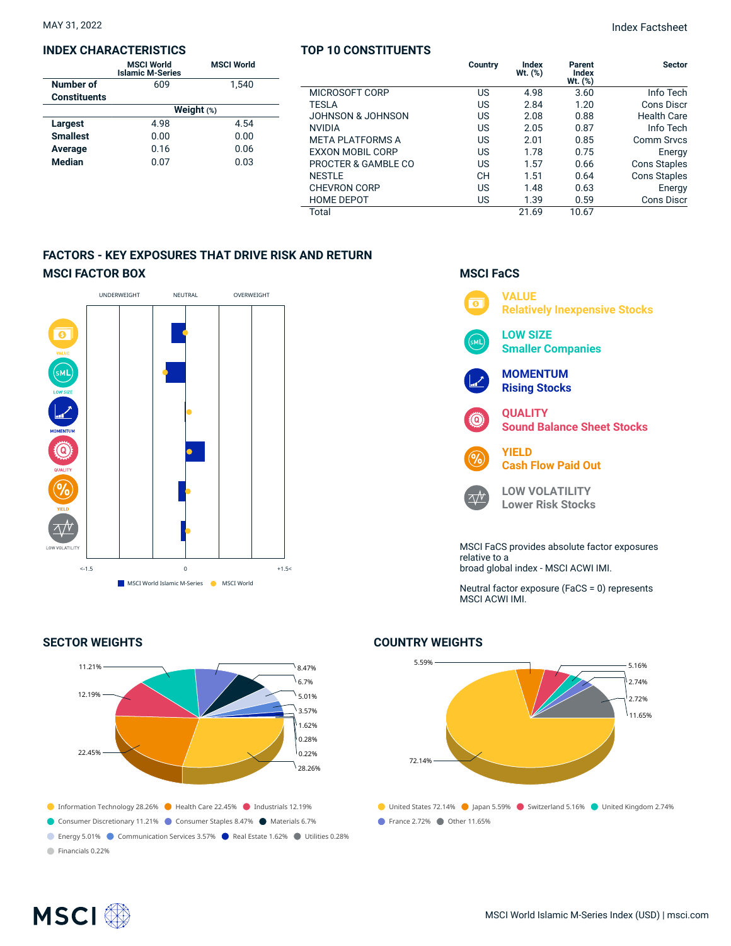#### **INDEX CHARACTERISTICS**

|                     | <b>MSCI World</b><br><b>Islamic M-Series</b> | <b>MSCI World</b> |  |  |  |  |  |
|---------------------|----------------------------------------------|-------------------|--|--|--|--|--|
| Number of           | 609                                          | 1.540             |  |  |  |  |  |
| <b>Constituents</b> |                                              |                   |  |  |  |  |  |
|                     | Weight $(*)$                                 |                   |  |  |  |  |  |
| Largest             | 4.98                                         | 4.54              |  |  |  |  |  |
| <b>Smallest</b>     | 0.00                                         | 0.00              |  |  |  |  |  |
| Average             | 0.16                                         | 0.06              |  |  |  |  |  |
| <b>Median</b>       | 0.07                                         | 0.03              |  |  |  |  |  |

| <b>TOP 10 CONSTITUENTS</b> |           |                     |                            |                     |
|----------------------------|-----------|---------------------|----------------------------|---------------------|
|                            | Country   | Index<br>Wt. $(\%)$ | Parent<br>Index<br>Wt. (%) | <b>Sector</b>       |
| MICROSOFT CORP             | US        | 4.98                | 3.60                       | Info Tech           |
| <b>TESLA</b>               | US        | 2.84                | 1.20                       | Cons Discr          |
| JOHNSON & JOHNSON          | US        | 2.08                | 0.88                       | Health Care         |
| <b>NVIDIA</b>              | US        | 2.05                | 0.87                       | Info Tech           |
| <b>META PLATFORMS A</b>    | US        | 2.01                | 0.85                       | Comm Srvcs          |
| <b>EXXON MOBIL CORP</b>    | US        | 1.78                | 0.75                       | Energy              |
| PROCTER & GAMBLE CO        | US        | 1.57                | 0.66                       | <b>Cons Staples</b> |
| <b>NESTLE</b>              | <b>CH</b> | 1.51                | 0.64                       | <b>Cons Staples</b> |
| <b>CHEVRON CORP</b>        | US        | 1.48                | 0.63                       | Energy              |
| <b>HOME DEPOT</b>          | US        | 1.39                | 0.59                       | Cons Discr          |
| Total                      |           | 21.69               | 10.67                      |                     |

#### **FACTORS - KEY EXPOSURES THAT DRIVE RISK AND RETURN MSCI FACTOR BOX**



#### **SECTOR WEIGHTS**



#### **MSCI FaCS**



Neutral factor exposure (FaCS = 0) represents

#### 5.59% 72.14% 5.16% 2.74% 2.72% 11.65%

● United States 72.14% ● Japan 5.59% ● Switzerland 5.16% ● United Kingdom 2.74% ● France 2.72% ● Other 11.65%

**COUNTRY WEIGHTS**

relative to a broad global index - MSCI ACWI IMI.

MSCI ACWI IMI.